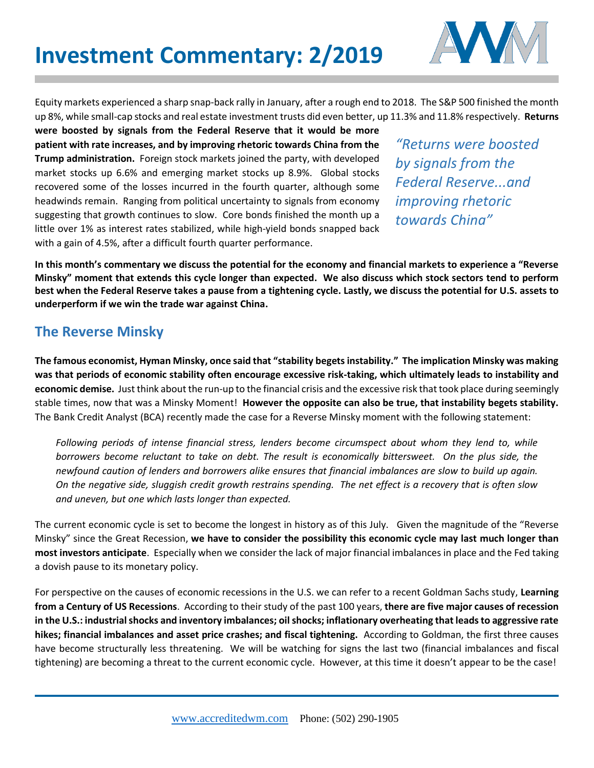

Equity markets experienced a sharp snap-back rally in January, after a rough end to 2018. The S&P 500 finished the month up 8%, while small-cap stocks and real estate investment trusts did even better, up 11.3% and 11.8% respectively. **Returns** 

**were boosted by signals from the Federal Reserve that it would be more patient with rate increases, and by improving rhetoric towards China from the Trump administration.** Foreign stock markets joined the party, with developed market stocks up 6.6% and emerging market stocks up 8.9%. Global stocks recovered some of the losses incurred in the fourth quarter, although some headwinds remain. Ranging from political uncertainty to signals from economy suggesting that growth continues to slow. Core bonds finished the month up a little over 1% as interest rates stabilized, while high-yield bonds snapped back with a gain of 4.5%, after a difficult fourth quarter performance.

*"Returns were boosted by signals from the Federal Reserve...and improving rhetoric towards China"* 

**In this month's commentary we discuss the potential for the economy and financial markets to experience a "Reverse Minsky" moment that extends this cycle longer than expected. We also discuss which stock sectors tend to perform best when the Federal Reserve takes a pause from a tightening cycle. Lastly, we discuss the potential for U.S. assets to underperform if we win the trade war against China.** 

## **The Reverse Minsky**

**The famous economist, Hyman Minsky, once said that "stability begets instability." The implication Minsky was making was that periods of economic stability often encourage excessive risk-taking, which ultimately leads to instability and economic demise.** Just think about the run-up to the financial crisis and the excessive risk that took place during seemingly stable times, now that was a Minsky Moment! **However the opposite can also be true, that instability begets stability.** The Bank Credit Analyst (BCA) recently made the case for a Reverse Minsky moment with the following statement:

*Following periods of intense financial stress, lenders become circumspect about whom they lend to, while borrowers become reluctant to take on debt. The result is economically bittersweet. On the plus side, the newfound caution of lenders and borrowers alike ensures that financial imbalances are slow to build up again. On the negative side, sluggish credit growth restrains spending. The net effect is a recovery that is often slow and uneven, but one which lasts longer than expected.*

The current economic cycle is set to become the longest in history as of this July. Given the magnitude of the "Reverse Minsky" since the Great Recession, **we have to consider the possibility this economic cycle may last much longer than most investors anticipate**. Especially when we consider the lack of major financial imbalances in place and the Fed taking a dovish pause to its monetary policy.

For perspective on the causes of economic recessions in the U.S. we can refer to a recent Goldman Sachs study, **Learning from a Century of US Recessions**. According to their study of the past 100 years, **there are five major causes of recession in the U.S.: industrial shocks and inventory imbalances; oil shocks; inflationary overheating that leads to aggressive rate hikes; financial imbalances and asset price crashes; and fiscal tightening.** According to Goldman, the first three causes have become structurally less threatening. We will be watching for signs the last two (financial imbalances and fiscal tightening) are becoming a threat to the current economic cycle. However, at this time it doesn't appear to be the case!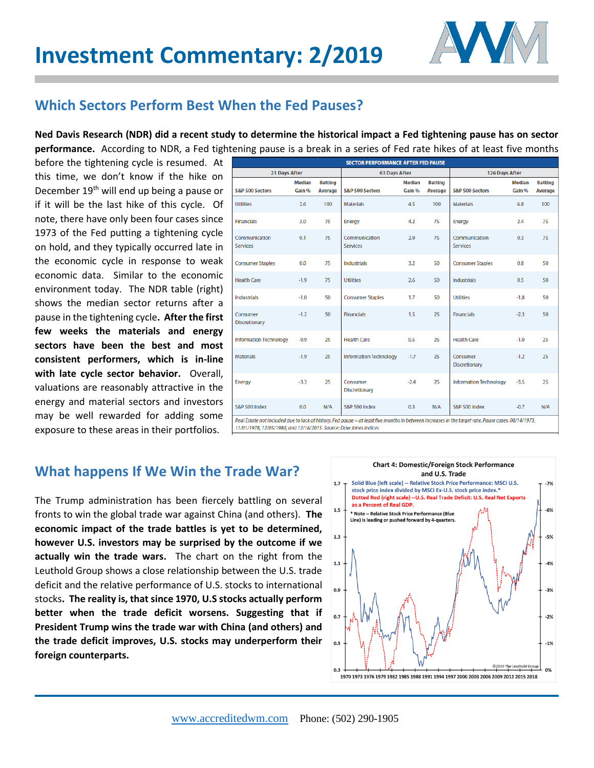## **Investment Commentary: 2/2019**



## **Which Sectors Perform Best When the Fed Pauses?**

**Ned Davis Research (NDR) did a recent study to determine the historical impact a Fed tightening pause has on sector performance.** According to NDR, a Fed tightening pause is a break in a series of Fed rate hikes of at least five months

before the tightening cycle is resumed. At this time, we don't know if the hike on December 19<sup>th</sup> will end up being a pause or if it will be the last hike of this cycle. Of note, there have only been four cases since 1973 of the Fed putting a tightening cycle on hold, and they typically occurred late in the economic cycle in response to weak economic data. Similar to the economic environment today. The NDR table (right) shows the median sector returns after a pause in the tightening cycle**. After the first few weeks the materials and energy sectors have been the best and most consistent performers, which is in-line with late cycle sector behavior.** Overall, valuations are reasonably attractive in the energy and material sectors and investors may be well rewarded for adding some exposure to these areas in their portfolios.

| <b>SECTOR PERFORMANCE AFTER FED PAUSE</b>                                                                                                           |                         |                                  |                                  |                         |                                  |                                  |                         |                                  |
|-----------------------------------------------------------------------------------------------------------------------------------------------------|-------------------------|----------------------------------|----------------------------------|-------------------------|----------------------------------|----------------------------------|-------------------------|----------------------------------|
| <b>21 Days After</b>                                                                                                                                |                         |                                  | <b>63 Days After</b>             |                         |                                  | <b>126 Days After</b>            |                         |                                  |
| <b>S&amp;P 500 Sectors</b>                                                                                                                          | <b>Median</b><br>Gain % | <b>Batting</b><br><b>Average</b> | <b>S&amp;P 500 Sectors</b>       | <b>Median</b><br>Gain % | <b>Batting</b><br><b>Average</b> | <b>S&amp;P 500 Sectors</b>       | <b>Median</b><br>Gain % | <b>Batting</b><br><b>Average</b> |
| <b>Utilities</b>                                                                                                                                    | 2.6                     | 100                              | <b>Materials</b>                 | 4.5                     | 100                              | <b>Materials</b>                 | 6.8                     | 100                              |
| <b>Financials</b>                                                                                                                                   | 3.0                     | 75                               | <b>Energy</b>                    | 4.2                     | 75                               | Energy                           | 2.4                     | 75                               |
| Communication<br><b>Services</b>                                                                                                                    | 0.1                     | 75                               | Communication<br><b>Services</b> | 2.9                     | 75                               | Communication<br><b>Services</b> | 0.3                     | 75                               |
| <b>Consumer Staples</b>                                                                                                                             | 0.0                     | 75                               | <b>Industrials</b>               | 3.2                     | 50                               | <b>Consumer Staples</b>          | 0.8                     | 50                               |
| <b>Health Care</b>                                                                                                                                  | $-1.9$                  | 75                               | <b>Utilities</b>                 | 2.6                     | 50                               | <b>Industrials</b>               | 0.5                     | 50                               |
| <b>Industrials</b>                                                                                                                                  | $-1.0$                  | 50                               | <b>Consumer Staples</b>          | 1.7                     | 50                               | <b>Utilities</b>                 | $-1.8$                  | 50                               |
| Consumer<br><b>Discretionary</b>                                                                                                                    | $-1.2$                  | 50                               | <b>Financials</b>                | 1.5                     | 25                               | <b>Financials</b>                | $-2.3$                  | 50                               |
| <b>Information Technology</b>                                                                                                                       | $-0.9$                  | 25                               | <b>Health Care</b>               | 0.5                     | 25                               | <b>Health Care</b>               | $-1.0$                  | 25                               |
| <b>Materials</b>                                                                                                                                    | $-1.9$                  | 25                               | <b>Information Technology</b>    | $-1.7$                  | 25                               | Consumer<br><b>Discretionary</b> | $-1.2$                  | 25                               |
| <b>Energy</b>                                                                                                                                       | $-3.3$                  | 25                               | Consumer<br><b>Discretionary</b> | $-2.4$                  | 25                               | <b>Information Technology</b>    | $-3.5$                  | 25                               |
| <b>S&amp;P 500 Index</b>                                                                                                                            | 0.0                     | N/A                              | <b>S&amp;P 500 Index</b>         | 0.3                     | N/A                              | S&P 500 Index                    | $-0.7$                  | N/A                              |
| Real Estate not included due to lack of history. Fed pause = at least five months in between increases in the target rate. Pause cases: 08/14/1973, |                         |                                  |                                  |                         |                                  |                                  |                         |                                  |

11/01/1978, 12/05/1980, and 12/16/2015. Source: Dow Jones Indices

## **What happens If We Win the Trade War?**

The Trump administration has been fiercely battling on several fronts to win the global trade war against China (and others). **The economic impact of the trade battles is yet to be determined, however U.S. investors may be surprised by the outcome if we actually win the trade wars.** The chart on the right from the Leuthold Group shows a close relationship between the U.S. trade deficit and the relative performance of U.S. stocks to international stocks**. The reality is, that since 1970, U.S stocks actually perform better when the trade deficit worsens. Suggesting that if President Trump wins the trade war with China (and others) and the trade deficit improves, U.S. stocks may underperform their foreign counterparts.**